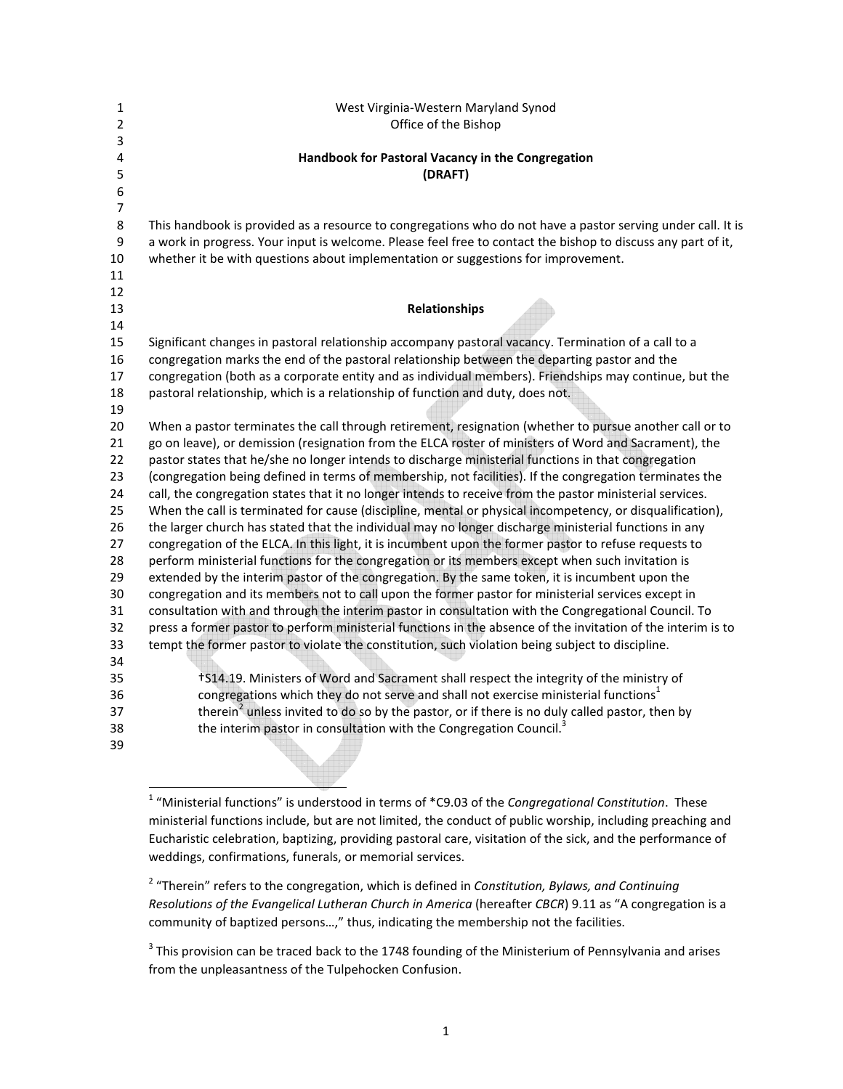| 1        | West Virginia-Western Maryland Synod                                                                                                                                                                  |
|----------|-------------------------------------------------------------------------------------------------------------------------------------------------------------------------------------------------------|
| 2        | Office of the Bishop                                                                                                                                                                                  |
| 3        |                                                                                                                                                                                                       |
| 4        | Handbook for Pastoral Vacancy in the Congregation                                                                                                                                                     |
| 5        | (DRAFT)                                                                                                                                                                                               |
| 6        |                                                                                                                                                                                                       |
| 7        |                                                                                                                                                                                                       |
| 8        | This handbook is provided as a resource to congregations who do not have a pastor serving under call. It is                                                                                           |
| 9        | a work in progress. Your input is welcome. Please feel free to contact the bishop to discuss any part of it,                                                                                          |
| 10       | whether it be with questions about implementation or suggestions for improvement.                                                                                                                     |
| 11       |                                                                                                                                                                                                       |
| 12       |                                                                                                                                                                                                       |
| 13       | Relationships                                                                                                                                                                                         |
| 14       |                                                                                                                                                                                                       |
| 15       | Significant changes in pastoral relationship accompany pastoral vacancy. Termination of a call to a                                                                                                   |
| 16       | congregation marks the end of the pastoral relationship between the departing pastor and the                                                                                                          |
| 17       | congregation (both as a corporate entity and as individual members). Friendships may continue, but the                                                                                                |
| 18       | pastoral relationship, which is a relationship of function and duty, does not.                                                                                                                        |
| 19       |                                                                                                                                                                                                       |
| 20       | When a pastor terminates the call through retirement, resignation (whether to pursue another call or to                                                                                               |
| 21       | go on leave), or demission (resignation from the ELCA roster of ministers of Word and Sacrament), the                                                                                                 |
| 22       | pastor states that he/she no longer intends to discharge ministerial functions in that congregation                                                                                                   |
| 23       | (congregation being defined in terms of membership, not facilities). If the congregation terminates the                                                                                               |
| 24       | call, the congregation states that it no longer intends to receive from the pastor ministerial services.                                                                                              |
| 25       | When the call is terminated for cause (discipline, mental or physical incompetency, or disqualification),                                                                                             |
| 26       | the larger church has stated that the individual may no longer discharge ministerial functions in any                                                                                                 |
| 27       | congregation of the ELCA. In this light, it is incumbent upon the former pastor to refuse requests to                                                                                                 |
| 28       | perform ministerial functions for the congregation or its members except when such invitation is                                                                                                      |
| 29<br>30 | extended by the interim pastor of the congregation. By the same token, it is incumbent upon the<br>congregation and its members not to call upon the former pastor for ministerial services except in |
|          | consultation with and through the interim pastor in consultation with the Congregational Council. To                                                                                                  |
| 31<br>32 | press a former pastor to perform ministerial functions in the absence of the invitation of the interim is to                                                                                          |
| 33       | tempt the former pastor to violate the constitution, such violation being subject to discipline.                                                                                                      |
| 34       |                                                                                                                                                                                                       |
| 35       | †S14.19. Ministers of Word and Sacrament shall respect the integrity of the ministry of                                                                                                               |
| 36       | congregations which they do not serve and shall not exercise ministerial functions <sup>1</sup>                                                                                                       |
| 37       | therein <sup>2</sup> unless invited to do so by the pastor, or if there is no duly called pastor, then by                                                                                             |
| 38       | the interim pastor in consultation with the Congregation Council. <sup>3</sup>                                                                                                                        |
| 39       |                                                                                                                                                                                                       |
|          |                                                                                                                                                                                                       |

2 "Therein" refers to the congregation, which is defined in *Constitution, Bylaws, and Continuing Resolutions of the Evangelical Lutheran Church in America* (hereafter *CBCR*) 9.11 as "A congregation is a community of baptized persons…," thus, indicating the membership not the facilities.

 1 "Ministerial functions" is understood in terms of \*C9.03 of the *Congregational Constitution*. These ministerial functions include, but are not limited, the conduct of public worship, including preaching and Eucharistic celebration, baptizing, providing pastoral care, visitation of the sick, and the performance of weddings, confirmations, funerals, or memorial services.

 $3$  This provision can be traced back to the 1748 founding of the Ministerium of Pennsylvania and arises from the unpleasantness of the Tulpehocken Confusion.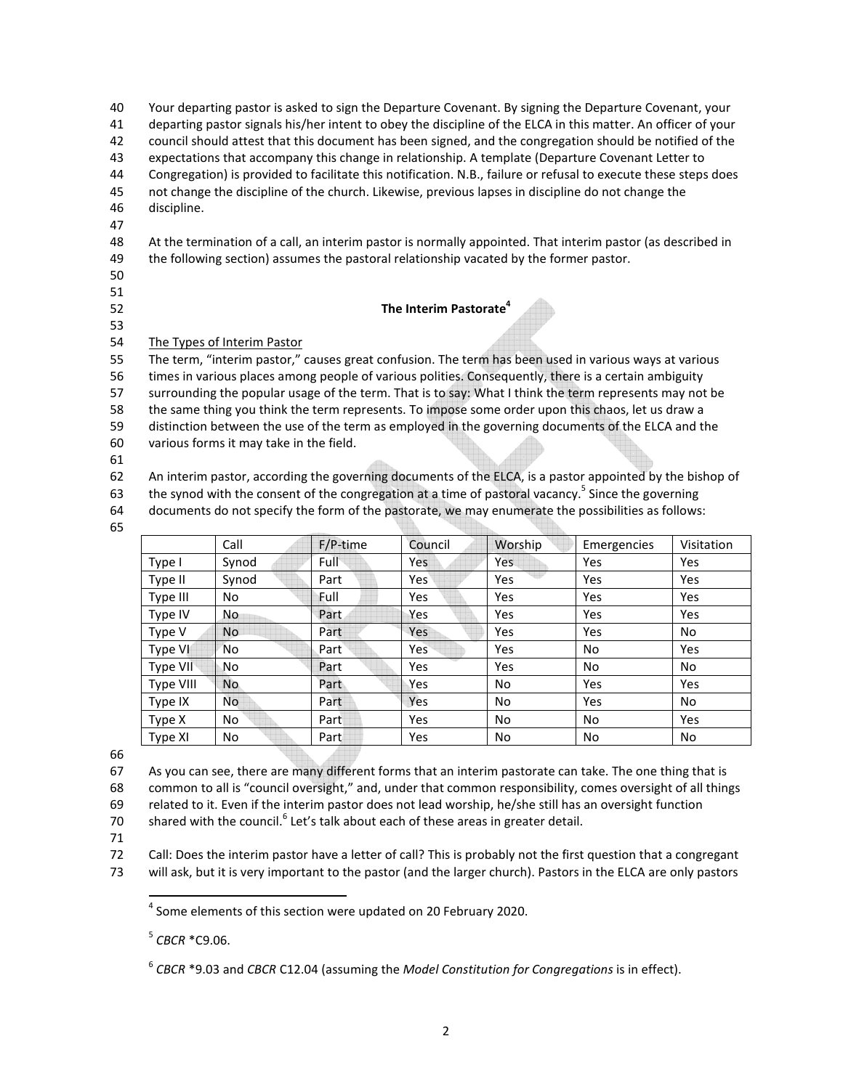| 40 | Your departing pastor is asked to sign the Departure Covenant. By signing the Departure Covenant, your          |
|----|-----------------------------------------------------------------------------------------------------------------|
| 41 | departing pastor signals his/her intent to obey the discipline of the ELCA in this matter. An officer of your   |
| 42 | council should attest that this document has been signed, and the congregation should be notified of the        |
| 43 | expectations that accompany this change in relationship. A template (Departure Covenant Letter to               |
| 44 | Congregation) is provided to facilitate this notification. N.B., failure or refusal to execute these steps does |
| 45 | not change the discipline of the church. Likewise, previous lapses in discipline do not change the              |
| 46 | discipline.                                                                                                     |
| 47 |                                                                                                                 |
| 48 | At the termination of a call, an interim pastor is normally appointed. That interim pastor (as described in     |
| 49 | the following section) assumes the pastoral relationship vacated by the former pastor.                          |
| 50 |                                                                                                                 |
| 51 |                                                                                                                 |
| 52 | The Interim Pastorate <sup>4</sup>                                                                              |
| 53 |                                                                                                                 |
| 54 | The Types of Interim Pastor                                                                                     |
| 55 | The term, "interim pastor," causes great confusion. The term has been used in various ways at various           |
| 56 | times in various places among people of various polities. Consequently, there is a certain ambiguity            |
| 57 | surrounding the popular usage of the term. That is to say: What I think the term represents may not be          |
| 58 | the same thing you think the term represents. To impose some order upon this chaos, let us draw a               |
| 59 | distinction between the use of the term as employed in the governing documents of the ELCA and the              |
| 60 | various forms it may take in the field.                                                                         |
|    |                                                                                                                 |

61

62 An interim pastor, according the governing documents of the ELCA, is a pastor appointed by the bishop of

63 the synod with the consent of the congregation at a time of pastoral vacancy.<sup>5</sup> Since the governing

64 documents do not specify the form of the pastorate, we may enumerate the possibilities as follows:

|           | Call           | F/P-time | Council    | Worship    | Emergencies | Visitation |
|-----------|----------------|----------|------------|------------|-------------|------------|
| Type I    | Synod          | Full     | Yes        | <b>Yes</b> | Yes         | Yes        |
| Type II   | Synod          | Part     | <b>Yes</b> | Yes        | Yes         | Yes        |
| Type III  | No             | Full     | Yes        | Yes        | Yes         | Yes        |
| Type IV   | No             | Part     | Yes        | Yes        | Yes         | Yes        |
| Type V    | <b>No</b>      | Part     | Yes        | Yes        | Yes         | No         |
| Type VI   | 'No            | Part     | Yes        | Yes        | No          | Yes        |
| Type VII  | No             | Part     | Yes        | Yes        | No          | No         |
| Type VIII | N <sub>o</sub> | Part     | Yes        | No         | Yes         | Yes        |
| Type IX   | No.            | Part     | Yes        | No         | Yes         | No         |
| Type X    | No             | Part     | Yes        | No         | No          | Yes        |
| Type XI   | No             | Part     | Yes        | No         | No.         | No         |

66

67 As you can see, there are many different forms that an interim pastorate can take. The one thing that is 68 common to all is "council oversight," and, under that common responsibility, comes oversight of all things 69 related to it. Even if the interim pastor does not lead worship, he/she still has an oversight function

70 shared with the council.<sup>6</sup> Let's talk about each of these areas in greater detail.

71

 $\overline{a}$ 

72 Call: Does the interim pastor have a letter of call? This is probably not the first question that a congregant

73 will ask, but it is very important to the pastor (and the larger church). Pastors in the ELCA are only pastors

5 *CBCR* \*C9.06.

 $<sup>4</sup>$  Some elements of this section were updated on 20 February 2020.</sup>

<sup>6</sup> *CBCR* \*9.03 and *CBCR* C12.04 (assuming the *Model Constitution for Congregations* is in effect).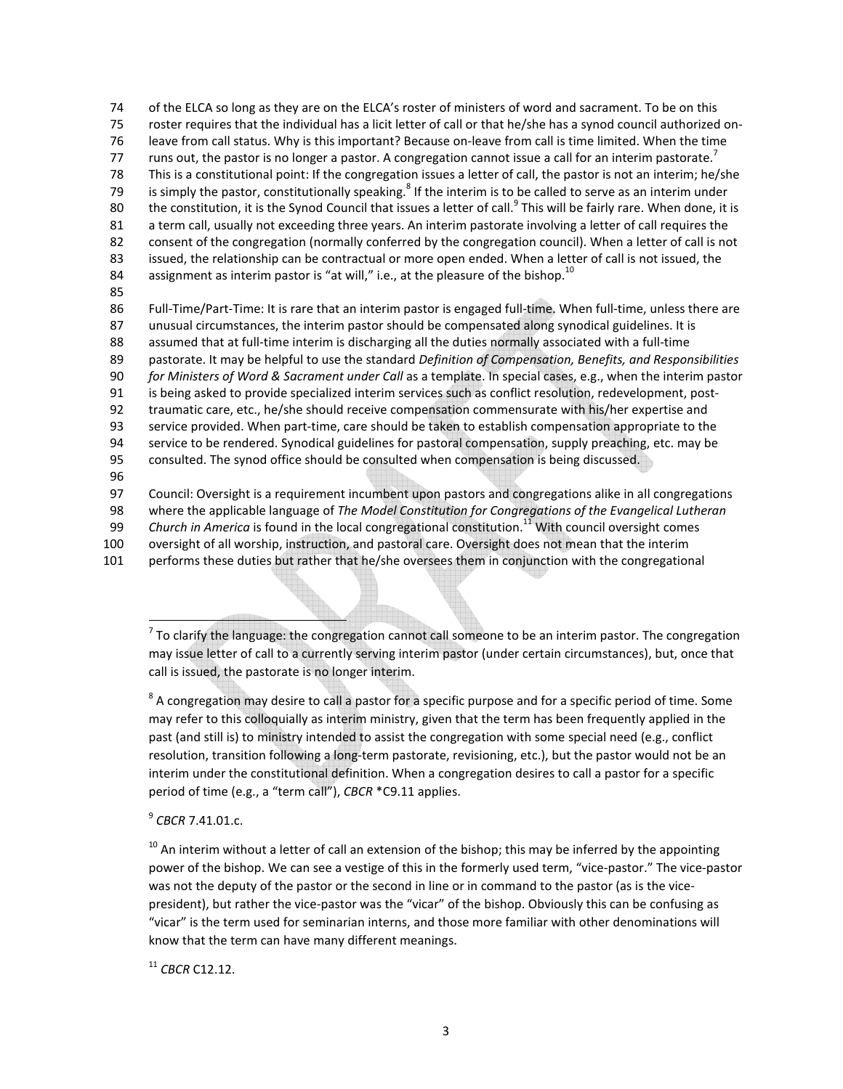74 of the ELCA so long as they are on the ELCA's roster of ministers of word and sacrament. To be on this 75 roster requires that the individual has a licit letter of call or that he/she has a synod council authorized on-76 leave from call status. Why is this important? Because on-leave from call is time limited. When the time runs out, the pastor is no longer a pastor. A congregation cannot issue a call for an interim pastorate.<sup>7</sup> 77 78 This is a constitutional point: If the congregation issues a letter of call, the pastor is not an interim; he/she 79 is simply the pastor, constitutionally speaking.<sup>8</sup> If the interim is to be called to serve as an interim under 80  $-$  the constitution, it is the Synod Council that issues a letter of call.<sup>9</sup> This will be fairly rare. When done, it is 81 a term call, usually not exceeding three years. An interim pastorate involving a letter of call requires the 82 consent of the congregation (normally conferred by the congregation council). When a letter of call is not 83 issued, the relationship can be contractual or more open ended. When a letter of call is not issued, the 84 assignment as interim pastor is "at will," i.e., at the pleasure of the bishop.<sup>10</sup> 85 86 Full-Time/Part-Time: It is rare that an interim pastor is engaged full-time. When full-time, unless there are 87 unusual circumstances, the interim pastor should be compensated along synodical guidelines. It is 88 assumed that at full-time interim is discharging all the duties normally associated with a full-time 89 pastorate. It may be helpful to use the standard *Definition of Compensation, Benefits, and Responsibilities*  90 *for Ministers of Word & Sacrament under Call* as a template. In special cases, e.g., when the interim pastor 91 is being asked to provide specialized interim services such as conflict resolution, redevelopment, post-92 traumatic care, etc., he/she should receive compensation commensurate with his/her expertise and 93 service provided. When part-time, care should be taken to establish compensation appropriate to the 94 service to be rendered. Synodical guidelines for pastoral compensation, supply preaching, etc. may be 95 consulted. The synod office should be consulted when compensation is being discussed. 96

97 Council: Oversight is a requirement incumbent upon pastors and congregations alike in all congregations

98 where the applicable language of *The Model Constitution for Congregations of the Evangelical Lutheran* 

99 Church in America is found in the local congregational constitution.<sup>11</sup> With council oversight comes

100 oversight of all worship, instruction, and pastoral care. Oversight does not mean that the interim

101 performs these duties but rather that he/she oversees them in conjunction with the congregational

 $<sup>7</sup>$  To clarify the language: the congregation cannot call someone to be an interim pastor. The congregation</sup> may issue letter of call to a currently serving interim pastor (under certain circumstances), but, once that call is issued, the pastorate is no longer interim.

 $8$  A congregation may desire to call a pastor for a specific purpose and for a specific period of time. Some may refer to this colloquially as interim ministry, given that the term has been frequently applied in the past (and still is) to ministry intended to assist the congregation with some special need (e.g., conflict resolution, transition following a long-term pastorate, revisioning, etc.), but the pastor would not be an interim under the constitutional definition. When a congregation desires to call a pastor for a specific period of time (e.g., a "term call"), *CBCR* \*C9.11 applies.

9 *CBCR* 7.41.01.c.

 $\overline{a}$ 

 $10$  An interim without a letter of call an extension of the bishop; this may be inferred by the appointing power of the bishop. We can see a vestige of this in the formerly used term, "vice-pastor." The vice-pastor was not the deputy of the pastor or the second in line or in command to the pastor (as is the vicepresident), but rather the vice-pastor was the "vicar" of the bishop. Obviously this can be confusing as "vicar" is the term used for seminarian interns, and those more familiar with other denominations will know that the term can have many different meanings.

<sup>11</sup> *CBCR* C12.12.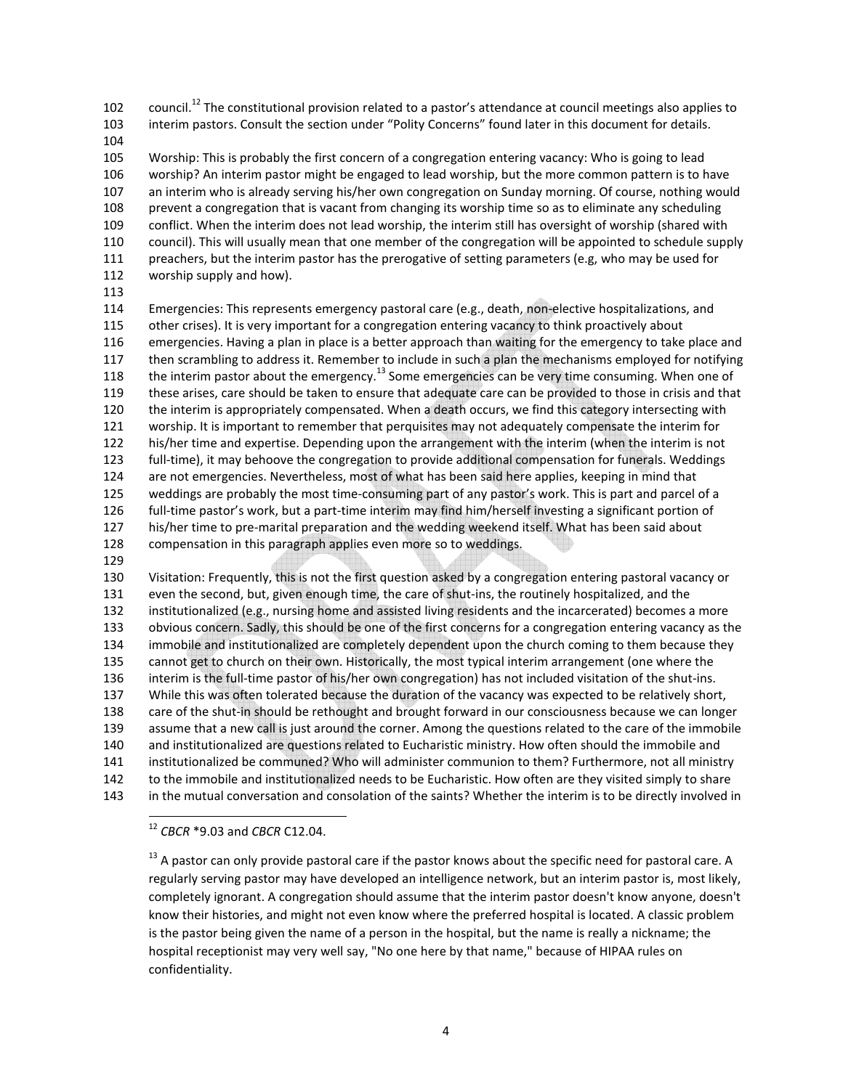102 council.<sup>12</sup> The constitutional provision related to a pastor's attendance at council meetings also applies to 103 interim pastors. Consult the section under "Polity Concerns" found later in this document for details.

104

105 Worship: This is probably the first concern of a congregation entering vacancy: Who is going to lead 106 worship? An interim pastor might be engaged to lead worship, but the more common pattern is to have 107 an interim who is already serving his/her own congregation on Sunday morning. Of course, nothing would 108 prevent a congregation that is vacant from changing its worship time so as to eliminate any scheduling 109 conflict. When the interim does not lead worship, the interim still has oversight of worship (shared with 110 council). This will usually mean that one member of the congregation will be appointed to schedule supply 111 preachers, but the interim pastor has the prerogative of setting parameters (e.g, who may be used for 112 worship supply and how).

113

114 Emergencies: This represents emergency pastoral care (e.g., death, non-elective hospitalizations, and 115 other crises). It is very important for a congregation entering vacancy to think proactively about 116 emergencies. Having a plan in place is a better approach than waiting for the emergency to take place and 117 then scrambling to address it. Remember to include in such a plan the mechanisms employed for notifying 118 the interim pastor about the emergency.<sup>13</sup> Some emergencies can be very time consuming. When one of 119 these arises, care should be taken to ensure that adequate care can be provided to those in crisis and that 120 the interim is appropriately compensated. When a death occurs, we find this category intersecting with 121 worship. It is important to remember that perquisites may not adequately compensate the interim for 122 his/her time and expertise. Depending upon the arrangement with the interim (when the interim is not 123 full-time), it may behoove the congregation to provide additional compensation for funerals. Weddings 124 are not emergencies. Nevertheless, most of what has been said here applies, keeping in mind that 125 weddings are probably the most time-consuming part of any pastor's work. This is part and parcel of a 126 full-time pastor's work, but a part-time interim may find him/herself investing a significant portion of 127 his/her time to pre-marital preparation and the wedding weekend itself. What has been said about 128 compensation in this paragraph applies even more so to weddings.

129

130 Visitation: Frequently, this is not the first question asked by a congregation entering pastoral vacancy or 131 even the second, but, given enough time, the care of shut-ins, the routinely hospitalized, and the 132 institutionalized (e.g., nursing home and assisted living residents and the incarcerated) becomes a more 133 obvious concern. Sadly, this should be one of the first concerns for a congregation entering vacancy as the 134 immobile and institutionalized are completely dependent upon the church coming to them because they 135 cannot get to church on their own. Historically, the most typical interim arrangement (one where the 136 interim is the full-time pastor of his/her own congregation) has not included visitation of the shut-ins. 137 While this was often tolerated because the duration of the vacancy was expected to be relatively short, 138 care of the shut-in should be rethought and brought forward in our consciousness because we can longer 139 assume that a new call is just around the corner. Among the questions related to the care of the immobile 140 and institutionalized are questions related to Eucharistic ministry. How often should the immobile and 141 institutionalized be communed? Who will administer communion to them? Furthermore, not all ministry 142 to the immobile and institutionalized needs to be Eucharistic. How often are they visited simply to share 143 in the mutual conversation and consolation of the saints? Whether the interim is to be directly involved in

-<sup>12</sup> *CBCR* \*9.03 and *CBCR* C12.04.

 $13$  A pastor can only provide pastoral care if the pastor knows about the specific need for pastoral care. A regularly serving pastor may have developed an intelligence network, but an interim pastor is, most likely, completely ignorant. A congregation should assume that the interim pastor doesn't know anyone, doesn't know their histories, and might not even know where the preferred hospital is located. A classic problem is the pastor being given the name of a person in the hospital, but the name is really a nickname; the hospital receptionist may very well say, "No one here by that name," because of HIPAA rules on confidentiality.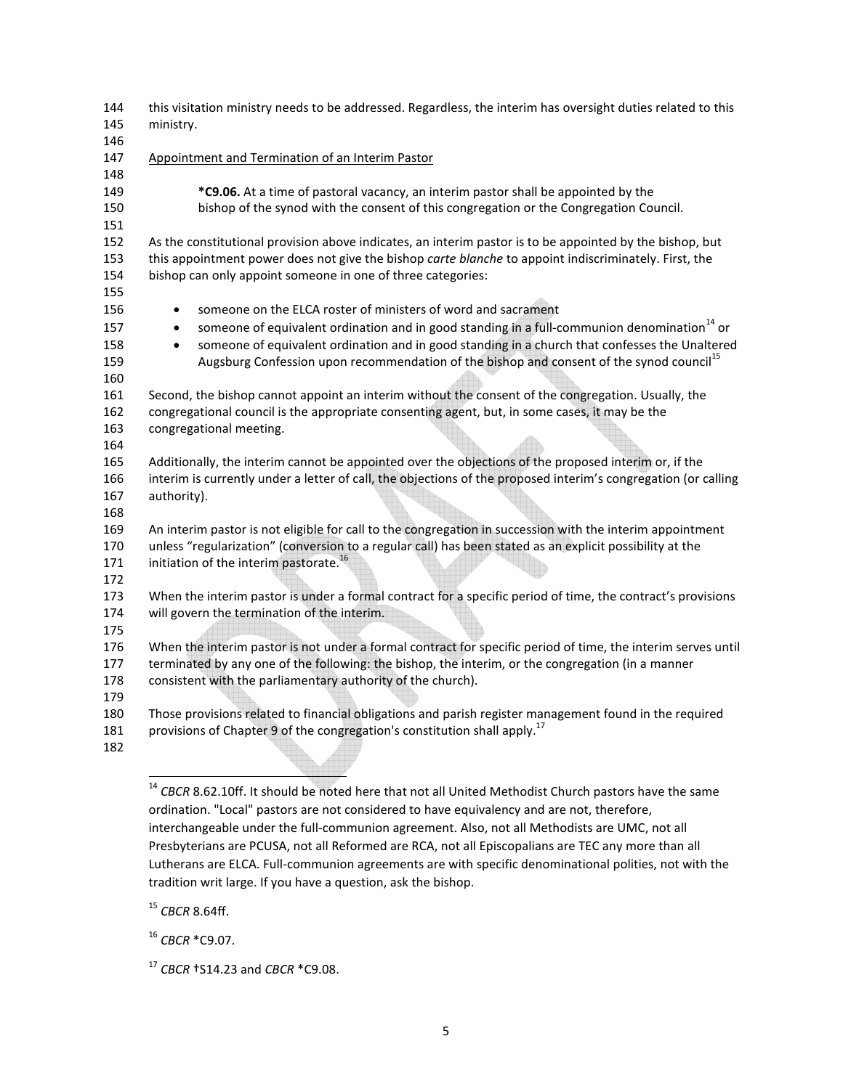| 144<br>145<br>146               | this visitation ministry needs to be addressed. Regardless, the interim has oversight duties related to this<br>ministry.                                                                                                                                                                                                                                                                                                 |
|---------------------------------|---------------------------------------------------------------------------------------------------------------------------------------------------------------------------------------------------------------------------------------------------------------------------------------------------------------------------------------------------------------------------------------------------------------------------|
| 147<br>148                      | Appointment and Termination of an Interim Pastor                                                                                                                                                                                                                                                                                                                                                                          |
| 149<br>150<br>151               | *C9.06. At a time of pastoral vacancy, an interim pastor shall be appointed by the<br>bishop of the synod with the consent of this congregation or the Congregation Council.                                                                                                                                                                                                                                              |
| 152<br>153                      | As the constitutional provision above indicates, an interim pastor is to be appointed by the bishop, but<br>this appointment power does not give the bishop carte blanche to appoint indiscriminately. First, the                                                                                                                                                                                                         |
| 154<br>155                      | bishop can only appoint someone in one of three categories:                                                                                                                                                                                                                                                                                                                                                               |
| 156<br>157<br>158<br>159<br>160 | someone on the ELCA roster of ministers of word and sacrament<br>$\bullet$<br>someone of equivalent ordination and in good standing in a full-communion denomination <sup>14</sup> or<br>$\bullet$<br>someone of equivalent ordination and in good standing in a church that confesses the Unaltered<br>$\bullet$<br>Augsburg Confession upon recommendation of the bishop and consent of the synod council <sup>15</sup> |
| 161<br>162<br>163<br>164        | Second, the bishop cannot appoint an interim without the consent of the congregation. Usually, the<br>congregational council is the appropriate consenting agent, but, in some cases, it may be the<br>congregational meeting.                                                                                                                                                                                            |
| 165<br>166<br>167<br>168        | Additionally, the interim cannot be appointed over the objections of the proposed interim or, if the<br>interim is currently under a letter of call, the objections of the proposed interim's congregation (or calling<br>authority).                                                                                                                                                                                     |
| 169<br>170<br>171<br>172        | An interim pastor is not eligible for call to the congregation in succession with the interim appointment<br>unless "regularization" (conversion to a regular call) has been stated as an explicit possibility at the<br>initiation of the interim pastorate. <sup>16</sup>                                                                                                                                               |
| 173<br>174<br>175               | When the interim pastor is under a formal contract for a specific period of time, the contract's provisions<br>will govern the termination of the interim.                                                                                                                                                                                                                                                                |
| 176<br>177<br>178<br>179        | When the interim pastor is not under a formal contract for specific period of time, the interim serves until<br>terminated by any one of the following: the bishop, the interim, or the congregation (in a manner<br>consistent with the parliamentary authority of the church).                                                                                                                                          |
| 180<br>181<br>182               | Those provisions related to financial obligations and parish register management found in the required<br>provisions of Chapter 9 of the congregation's constitution shall apply. <sup>17</sup>                                                                                                                                                                                                                           |

<sup>15</sup> *CBCR* 8.64ff.

 $\overline{a}$ 

<sup>16</sup> *CBCR* \*C9.07.

<sup>17</sup> *CBCR* †S14.23 and *CBCR* \*C9.08.

<sup>&</sup>lt;sup>14</sup> CBCR 8.62.10ff. It should be noted here that not all United Methodist Church pastors have the same ordination. "Local" pastors are not considered to have equivalency and are not, therefore, interchangeable under the full-communion agreement. Also, not all Methodists are UMC, not all Presbyterians are PCUSA, not all Reformed are RCA, not all Episcopalians are TEC any more than all Lutherans are ELCA. Full-communion agreements are with specific denominational polities, not with the tradition writ large. If you have a question, ask the bishop.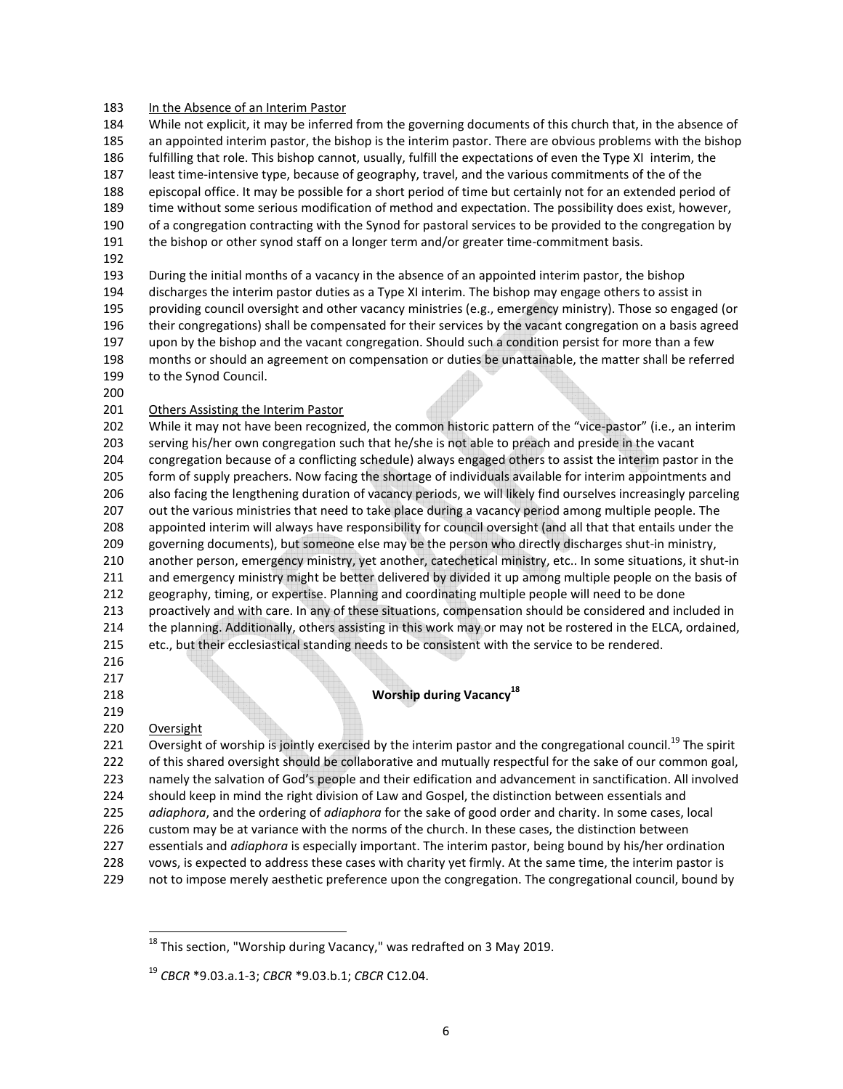#### 183 In the Absence of an Interim Pastor

184 While not explicit, it may be inferred from the governing documents of this church that, in the absence of 185 an appointed interim pastor, the bishop is the interim pastor. There are obvious problems with the bishop 186 fulfilling that role. This bishop cannot, usually, fulfill the expectations of even the Type XI interim, the

187 least time-intensive type, because of geography, travel, and the various commitments of the of the

188 episcopal office. It may be possible for a short period of time but certainly not for an extended period of

189 time without some serious modification of method and expectation. The possibility does exist, however,

- 190 of a congregation contracting with the Synod for pastoral services to be provided to the congregation by
- 191 the bishop or other synod staff on a longer term and/or greater time-commitment basis.
- 192

193 During the initial months of a vacancy in the absence of an appointed interim pastor, the bishop

194 discharges the interim pastor duties as a Type XI interim. The bishop may engage others to assist in 195 providing council oversight and other vacancy ministries (e.g., emergency ministry). Those so engaged (or 196 their congregations) shall be compensated for their services by the vacant congregation on a basis agreed 197 upon by the bishop and the vacant congregation. Should such a condition persist for more than a few 198 months or should an agreement on compensation or duties be unattainable, the matter shall be referred 199 to the Synod Council.

200

### 201 Others Assisting the Interim Pastor

202 While it may not have been recognized, the common historic pattern of the "vice-pastor" (i.e., an interim 203 serving his/her own congregation such that he/she is not able to preach and preside in the vacant 204 congregation because of a conflicting schedule) always engaged others to assist the interim pastor in the 205 form of supply preachers. Now facing the shortage of individuals available for interim appointments and 206 also facing the lengthening duration of vacancy periods, we will likely find ourselves increasingly parceling 207 out the various ministries that need to take place during a vacancy period among multiple people. The 208 appointed interim will always have responsibility for council oversight (and all that that entails under the 209 governing documents), but someone else may be the person who directly discharges shut-in ministry, 210 another person, emergency ministry, yet another, catechetical ministry, etc.. In some situations, it shut-in 211 and emergency ministry might be better delivered by divided it up among multiple people on the basis of 212 geography, timing, or expertise. Planning and coordinating multiple people will need to be done 213 proactively and with care. In any of these situations, compensation should be considered and included in 214 the planning. Additionally, others assisting in this work may or may not be rostered in the ELCA, ordained, 215 etc., but their ecclesiastical standing needs to be consistent with the service to be rendered.

216

#### 217

*Worship during Vacancy***<sup>18</sup> 218** 

### 219

## 220 Oversight

l

221 Oversight of worship is jointly exercised by the interim pastor and the congregational council.<sup>19</sup> The spirit 222 of this shared oversight should be collaborative and mutually respectful for the sake of our common goal, 223 namely the salvation of God's people and their edification and advancement in sanctification. All involved 224 should keep in mind the right division of Law and Gospel, the distinction between essentials and

225 *adiaphora*, and the ordering of *adiaphora* for the sake of good order and charity. In some cases, local

- 226 custom may be at variance with the norms of the church. In these cases, the distinction between
- 227 essentials and *adiaphora* is especially important. The interim pastor, being bound by his/her ordination
- 228 vows, is expected to address these cases with charity yet firmly. At the same time, the interim pastor is
- 229 not to impose merely aesthetic preference upon the congregation. The congregational council, bound by

 $18$  This section, "Worship during Vacancy," was redrafted on 3 May 2019.

<sup>19</sup> *CBCR* \*9.03.a.1-3; *CBCR* \*9.03.b.1; *CBCR* C12.04.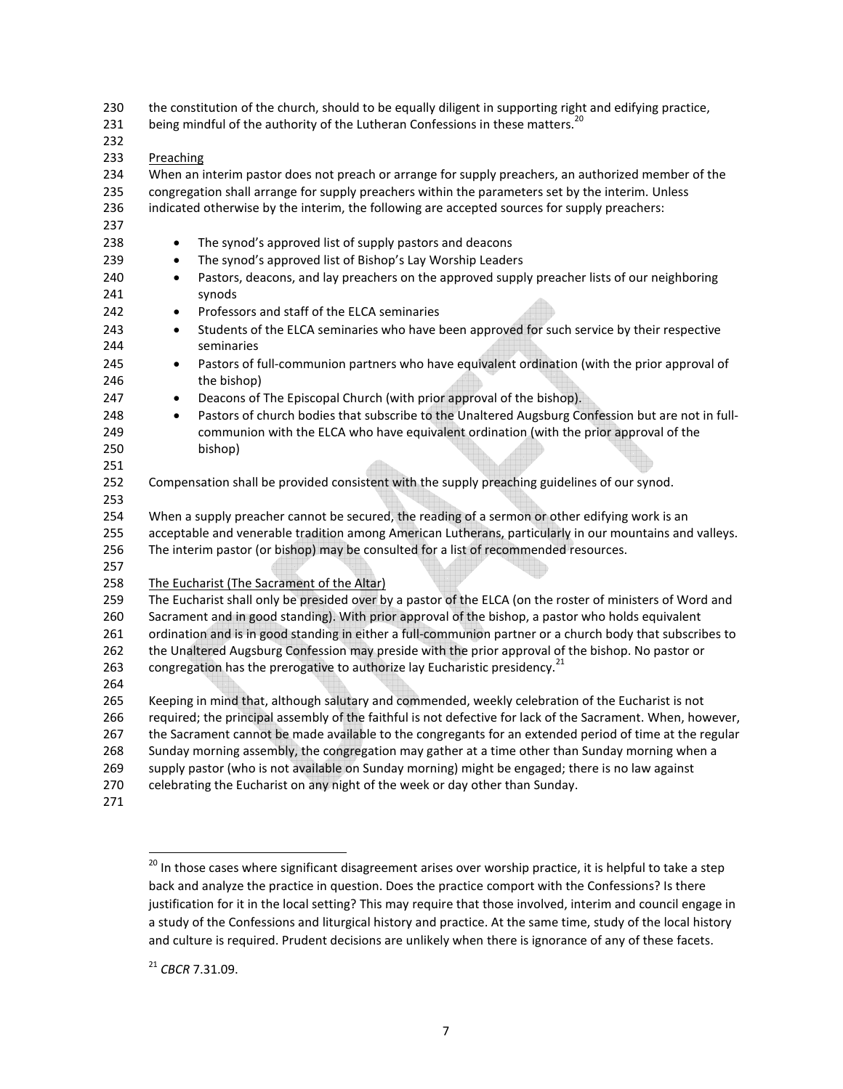230 the constitution of the church, should to be equally diligent in supporting right and edifying practice,

- 231 being mindful of the authority of the Lutheran Confessions in these matters.<sup>2</sup>
- 232
- 233 Preaching

234 When an interim pastor does not preach or arrange for supply preachers, an authorized member of the 235 congregation shall arrange for supply preachers within the parameters set by the interim. Unless 236 indicated otherwise by the interim, the following are accepted sources for supply preachers:

- 237
- 238 The synod's approved list of supply pastors and deacons
- 239 The synod's approved list of Bishop's Lay Worship Leaders
- 240 Pastors, deacons, and lay preachers on the approved supply preacher lists of our neighboring 241 synods
- 242 Professors and staff of the ELCA seminaries
- 243 Students of the ELCA seminaries who have been approved for such service by their respective 244 seminaries
- 245 Pastors of full-communion partners who have equivalent ordination (with the prior approval of 246 the bishop)
- 247 Deacons of The Episcopal Church (with prior approval of the bishop).
- 248 Pastors of church bodies that subscribe to the Unaltered Augsburg Confession but are not in full-249 communion with the ELCA who have equivalent ordination (with the prior approval of the 250 bishop)
- 252 Compensation shall be provided consistent with the supply preaching guidelines of our synod.
- 253

251

254 When a supply preacher cannot be secured, the reading of a sermon or other edifying work is an 255 acceptable and venerable tradition among American Lutherans, particularly in our mountains and valleys.

- 256 The interim pastor (or bishop) may be consulted for a list of recommended resources.
- 257

258 The Eucharist (The Sacrament of the Altar)

259 The Eucharist shall only be presided over by a pastor of the ELCA (on the roster of ministers of Word and 260 Sacrament and in good standing). With prior approval of the bishop, a pastor who holds equivalent 261 ordination and is in good standing in either a full-communion partner or a church body that subscribes to

262 the Unaltered Augsburg Confession may preside with the prior approval of the bishop. No pastor or

263 congregation has the prerogative to authorize lay Eucharistic presidency.<sup>21</sup>

264

265 Keeping in mind that, although salutary and commended, weekly celebration of the Eucharist is not 266 required; the principal assembly of the faithful is not defective for lack of the Sacrament. When, however, 267 the Sacrament cannot be made available to the congregants for an extended period of time at the regular 268 Sunday morning assembly, the congregation may gather at a time other than Sunday morning when a 269 supply pastor (who is not available on Sunday morning) might be engaged; there is no law against 270 celebrating the Eucharist on any night of the week or day other than Sunday.

271

1

<sup>&</sup>lt;sup>20</sup> In those cases where significant disagreement arises over worship practice, it is helpful to take a step back and analyze the practice in question. Does the practice comport with the Confessions? Is there justification for it in the local setting? This may require that those involved, interim and council engage in a study of the Confessions and liturgical history and practice. At the same time, study of the local history and culture is required. Prudent decisions are unlikely when there is ignorance of any of these facets.

<sup>21</sup> *CBCR* 7.31.09.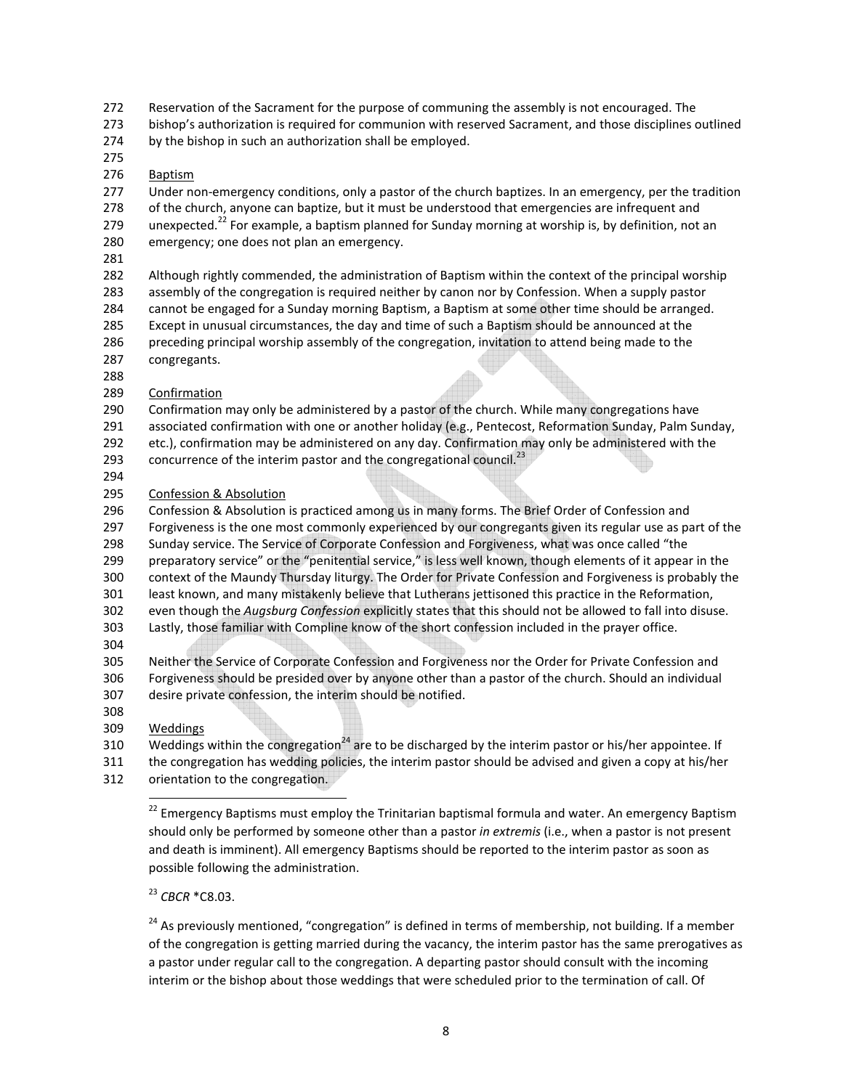272 Reservation of the Sacrament for the purpose of communing the assembly is not encouraged. The

273 bishop's authorization is required for communion with reserved Sacrament, and those disciplines outlined

274 by the bishop in such an authorization shall be employed.

275

## 276 Baptism

277 Under non-emergency conditions, only a pastor of the church baptizes. In an emergency, per the tradition 278 of the church, anyone can baptize, but it must be understood that emergencies are infrequent and 279 unexpected.<sup>22</sup> For example, a baptism planned for Sunday morning at worship is, by definition, not an 280 emergency; one does not plan an emergency.

- 
- 281

282 Although rightly commended, the administration of Baptism within the context of the principal worship

283 assembly of the congregation is required neither by canon nor by Confession. When a supply pastor

284 cannot be engaged for a Sunday morning Baptism, a Baptism at some other time should be arranged. 285 Except in unusual circumstances, the day and time of such a Baptism should be announced at the 286 preceding principal worship assembly of the congregation, invitation to attend being made to the

- 287 congregants.
- 288
- 289 Confirmation
- 290 Confirmation may only be administered by a pastor of the church. While many congregations have
- 291 associated confirmation with one or another holiday (e.g., Pentecost, Reformation Sunday, Palm Sunday,
- 292 etc.), confirmation may be administered on any day. Confirmation may only be administered with the
- 293 concurrence of the interim pastor and the congregational council.<sup>23</sup>
- 294
- 295 Confession & Absolution

296 Confession & Absolution is practiced among us in many forms. The Brief Order of Confession and 297 Forgiveness is the one most commonly experienced by our congregants given its regular use as part of the 298 Sunday service. The Service of Corporate Confession and Forgiveness, what was once called "the 299 preparatory service" or the "penitential service," is less well known, though elements of it appear in the 300 context of the Maundy Thursday liturgy. The Order for Private Confession and Forgiveness is probably the 301 least known, and many mistakenly believe that Lutherans jettisoned this practice in the Reformation,

- 302 even though the *Augsburg Confession* explicitly states that this should not be allowed to fall into disuse. 303 Lastly, those familiar with Compline know of the short confession included in the prayer office.
- 304

305 Neither the Service of Corporate Confession and Forgiveness nor the Order for Private Confession and 306 Forgiveness should be presided over by anyone other than a pastor of the church. Should an individual 307 desire private confession, the interim should be notified.

308

# 309 Weddings

 $\overline{a}$ 

310 Weddings within the congregation<sup>24</sup> are to be discharged by the interim pastor or his/her appointee. If

311 the congregation has wedding policies, the interim pastor should be advised and given a copy at his/her

312 orientation to the congregation.

<sup>22</sup> Emergency Baptisms must employ the Trinitarian baptismal formula and water. An emergency Baptism should only be performed by someone other than a pastor *in extremis* (i.e., when a pastor is not present and death is imminent). All emergency Baptisms should be reported to the interim pastor as soon as possible following the administration.

# <sup>23</sup> *CBCR* \*C8.03.

 $24$  As previously mentioned, "congregation" is defined in terms of membership, not building. If a member of the congregation is getting married during the vacancy, the interim pastor has the same prerogatives as a pastor under regular call to the congregation. A departing pastor should consult with the incoming interim or the bishop about those weddings that were scheduled prior to the termination of call. Of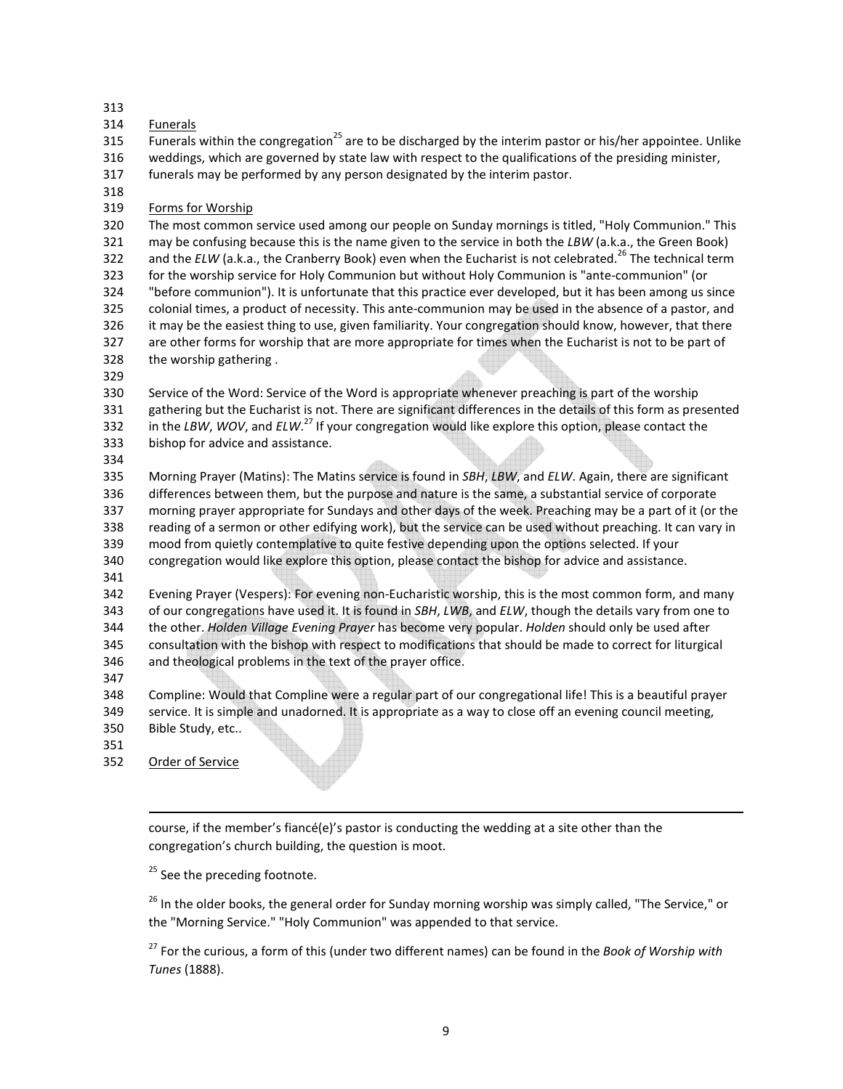313

314 Funerals

 $\overline{315}$  Funerals within the congregation<sup>25</sup> are to be discharged by the interim pastor or his/her appointee. Unlike 316 weddings, which are governed by state law with respect to the qualifications of the presiding minister,

- 317 funerals may be performed by any person designated by the interim pastor.
- 318
- 319 Forms for Worship

320 The most common service used among our people on Sunday mornings is titled, "Holy Communion." This 321 may be confusing because this is the name given to the service in both the *LBW* (a.k.a., the Green Book) 322 and the  $ELW$  (a.k.a., the Cranberry Book) even when the Eucharist is not celebrated.<sup>26</sup> The technical term 323 for the worship service for Holy Communion but without Holy Communion is "ante-communion" (or 324 "before communion"). It is unfortunate that this practice ever developed, but it has been among us since 325 colonial times, a product of necessity. This ante-communion may be used in the absence of a pastor, and 326 it may be the easiest thing to use, given familiarity. Your congregation should know, however, that there 327 are other forms for worship that are more appropriate for times when the Eucharist is not to be part of 328 the worship gathering .

329

330 Service of the Word: Service of the Word is appropriate whenever preaching is part of the worship 331 gathering but the Eucharist is not. There are significant differences in the details of this form as presented 332 in the *LBW, WOV,* and *ELW*.<sup>27</sup> If your congregation would like explore this option, please contact the 333 bishop for advice and assistance.

334

335 Morning Prayer (Matins): The Matins service is found in *SBH*, *LBW*, and *ELW*. Again, there are significant 336 differences between them, but the purpose and nature is the same, a substantial service of corporate 337 morning prayer appropriate for Sundays and other days of the week. Preaching may be a part of it (or the 338 reading of a sermon or other edifying work), but the service can be used without preaching. It can vary in 339 mood from quietly contemplative to quite festive depending upon the options selected. If your 340 congregation would like explore this option, please contact the bishop for advice and assistance.

341

342 Evening Prayer (Vespers): For evening non-Eucharistic worship, this is the most common form, and many 343 of our congregations have used it. It is found in *SBH*, *LWB*, and *ELW*, though the details vary from one to 344 the other. *Holden Village Evening Prayer* has become very popular. *Holden* should only be used after 345 consultation with the bishop with respect to modifications that should be made to correct for liturgical 346 and theological problems in the text of the prayer office.

347

348 Compline: Would that Compline were a regular part of our congregational life! This is a beautiful prayer 349 service. It is simple and unadorned. It is appropriate as a way to close off an evening council meeting, 350 Bible Study, etc..

351

352 Order of Service

 $\overline{a}$ 

course, if the member's fiancé(e)'s pastor is conducting the wedding at a site other than the congregation's church building, the question is moot.

<sup>25</sup> See the preceding footnote.

<sup>26</sup> In the older books, the general order for Sunday morning worship was simply called, "The Service," or the "Morning Service." "Holy Communion" was appended to that service.

<sup>27</sup> For the curious, a form of this (under two different names) can be found in the *Book of Worship with Tunes* (1888).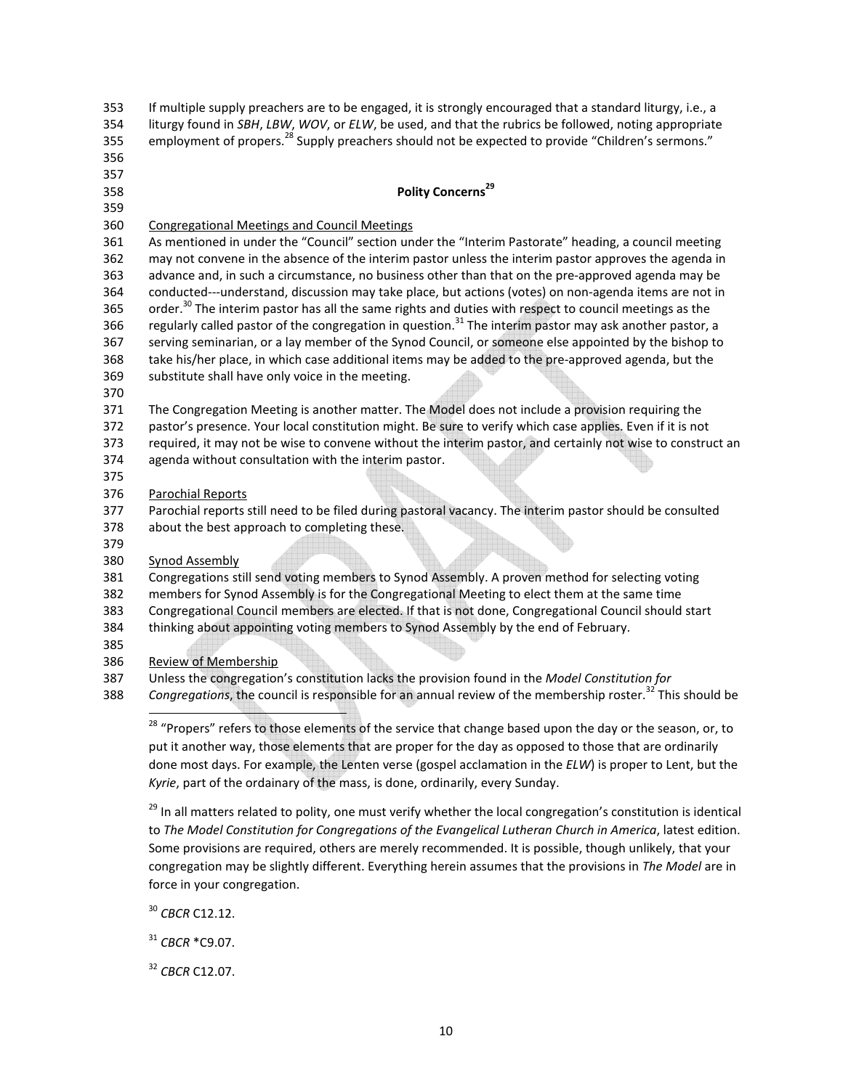| 354        | liturgy found in SBH, LBW, WOV, or ELW, be used, and that the rubrics be followed, noting appropriate                                                                                                         |
|------------|---------------------------------------------------------------------------------------------------------------------------------------------------------------------------------------------------------------|
| 355        | employment of propers. <sup>28</sup> Supply preachers should not be expected to provide "Children's sermons."                                                                                                 |
| 356        |                                                                                                                                                                                                               |
| 357        |                                                                                                                                                                                                               |
| 358        | Polity Concerns <sup>29</sup>                                                                                                                                                                                 |
| 359        |                                                                                                                                                                                                               |
| 360        | <b>Congregational Meetings and Council Meetings</b>                                                                                                                                                           |
| 361<br>362 | As mentioned in under the "Council" section under the "Interim Pastorate" heading, a council meeting<br>may not convene in the absence of the interim pastor unless the interim pastor approves the agenda in |
| 363        | advance and, in such a circumstance, no business other than that on the pre-approved agenda may be                                                                                                            |
| 364        | conducted---understand, discussion may take place, but actions (votes) on non-agenda items are not in                                                                                                         |
| 365        | order. <sup>30</sup> The interim pastor has all the same rights and duties with respect to council meetings as the                                                                                            |
| 366        | regularly called pastor of the congregation in question. <sup>31</sup> The interim pastor may ask another pastor, a                                                                                           |
| 367        | serving seminarian, or a lay member of the Synod Council, or someone else appointed by the bishop to                                                                                                          |
| 368        | take his/her place, in which case additional items may be added to the pre-approved agenda, but the                                                                                                           |
| 369        | substitute shall have only voice in the meeting.                                                                                                                                                              |
| 370        |                                                                                                                                                                                                               |
| 371        | The Congregation Meeting is another matter. The Model does not include a provision requiring the                                                                                                              |
| 372        | pastor's presence. Your local constitution might. Be sure to verify which case applies. Even if it is not                                                                                                     |
| 373        | required, it may not be wise to convene without the interim pastor, and certainly not wise to construct an                                                                                                    |
| 374        | agenda without consultation with the interim pastor.                                                                                                                                                          |
| 375        |                                                                                                                                                                                                               |
| 376        | <b>Parochial Reports</b>                                                                                                                                                                                      |
| 377        | Parochial reports still need to be filed during pastoral vacancy. The interim pastor should be consulted                                                                                                      |
| 378        | about the best approach to completing these.                                                                                                                                                                  |
| 379<br>380 | <b>Synod Assembly</b>                                                                                                                                                                                         |
| 381        | Congregations still send voting members to Synod Assembly. A proven method for selecting voting                                                                                                               |
| 382        | members for Synod Assembly is for the Congregational Meeting to elect them at the same time                                                                                                                   |
| 383        | Congregational Council members are elected. If that is not done, Congregational Council should start                                                                                                          |
| 384        | thinking about appointing voting members to Synod Assembly by the end of February.                                                                                                                            |
| 385        |                                                                                                                                                                                                               |
| 386        | <b>Review of Membership</b>                                                                                                                                                                                   |
| 387        | Unless the congregation's constitution lacks the provision found in the Model Constitution for                                                                                                                |
| 388        | Congregations, the council is responsible for an annual review of the membership roster. <sup>32</sup> This should be                                                                                         |
|            |                                                                                                                                                                                                               |
|            | <sup>28</sup> "Propers" refers to those elements of the service that change based upon the day or the season, or, to                                                                                          |
|            | put it another way, those elements that are proper for the day as opposed to those that are ordinarily                                                                                                        |
|            | done most days. For example, the Lenten verse (gospel acclamation in the ELW) is proper to Lent, but the                                                                                                      |
|            | Kyrie, part of the ordainary of the mass, is done, ordinarily, every Sunday.                                                                                                                                  |
|            | <sup>29</sup> In all matters related to polity, one must verify whether the local congregation's constitution is identical                                                                                    |
|            | to The Model Constitution for Congregations of the Evangelical Lutheran Church in America, latest edition.                                                                                                    |
|            | Some provisions are required, others are merely recommended. It is possible, though unlikely, that your                                                                                                       |
|            | congregation may be slightly different. Everything herein assumes that the provisions in The Model are in                                                                                                     |

353 If multiple supply preachers are to be engaged, it is strongly encouraged that a standard liturgy, i.e., a

<sup>30</sup> *CBCR* C12.12.

force in your congregation.

<sup>31</sup> *CBCR* \*C9.07.

<sup>32</sup> *CBCR* C12.07.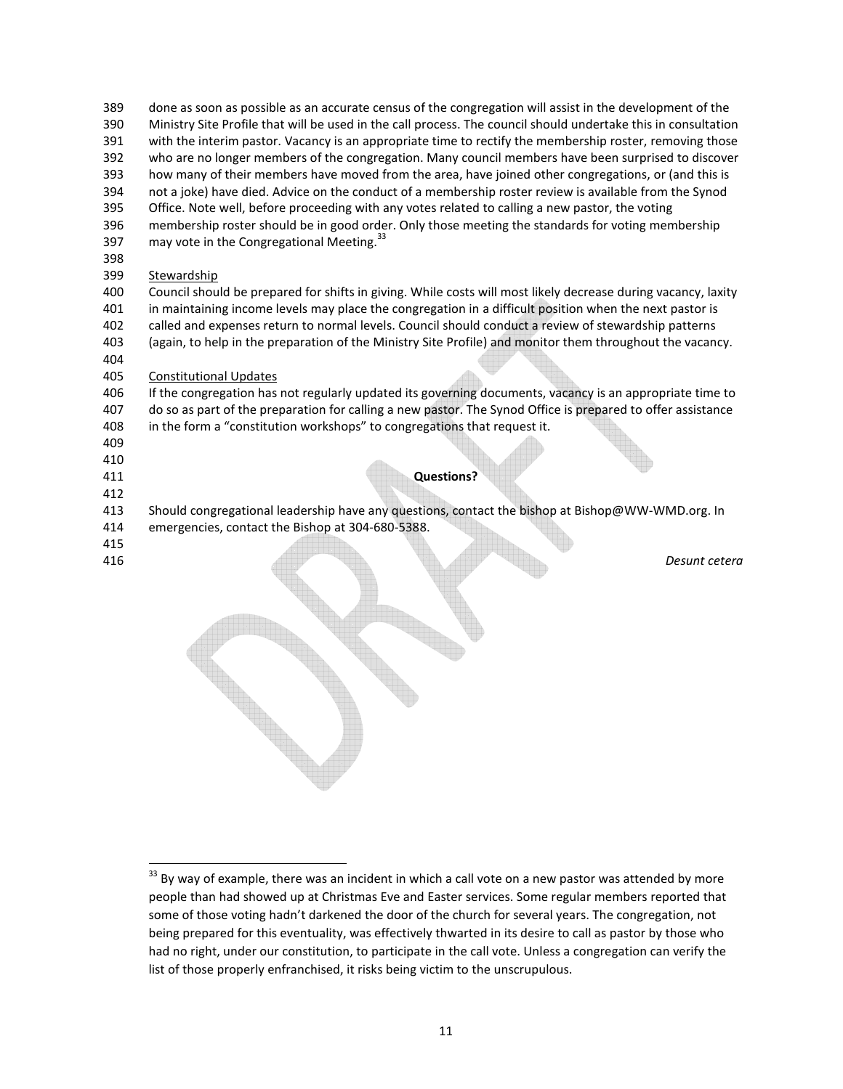- 389 done as soon as possible as an accurate census of the congregation will assist in the development of the
- 390 Ministry Site Profile that will be used in the call process. The council should undertake this in consultation 391 with the interim pastor. Vacancy is an appropriate time to rectify the membership roster, removing those
- 392 who are no longer members of the congregation. Many council members have been surprised to discover
- 393 how many of their members have moved from the area, have joined other congregations, or (and this is
- 394 not a joke) have died. Advice on the conduct of a membership roster review is available from the Synod
- 395 Office. Note well, before proceeding with any votes related to calling a new pastor, the voting
- 396 membership roster should be in good order. Only those meeting the standards for voting membership 397 may vote in the Congregational Meeting.<sup>33</sup>
- 398
- 399 Stewardship

400 Council should be prepared for shifts in giving. While costs will most likely decrease during vacancy, laxity 401 in maintaining income levels may place the congregation in a difficult position when the next pastor is 402 called and expenses return to normal levels. Council should conduct a review of stewardship patterns

403 (again, to help in the preparation of the Ministry Site Profile) and monitor them throughout the vacancy.

404

## 405 Constitutional Updates

406 If the congregation has not regularly updated its governing documents, vacancy is an appropriate time to 407 do so as part of the preparation for calling a new pastor. The Synod Office is prepared to offer assistance 408 in the form a "constitution workshops" to congregations that request it.

- 409
- 410
- 
- 412

411 **Questions?** 

413 Should congregational leadership have any questions, contact the bishop at Bishop@WW-WMD.org. In

- 414 emergencies, contact the Bishop at 304-680-5388.
- 415
- 

l

416 *Desunt cetera* 

 $33$  By way of example, there was an incident in which a call vote on a new pastor was attended by more people than had showed up at Christmas Eve and Easter services. Some regular members reported that some of those voting hadn't darkened the door of the church for several years. The congregation, not being prepared for this eventuality, was effectively thwarted in its desire to call as pastor by those who had no right, under our constitution, to participate in the call vote. Unless a congregation can verify the list of those properly enfranchised, it risks being victim to the unscrupulous.